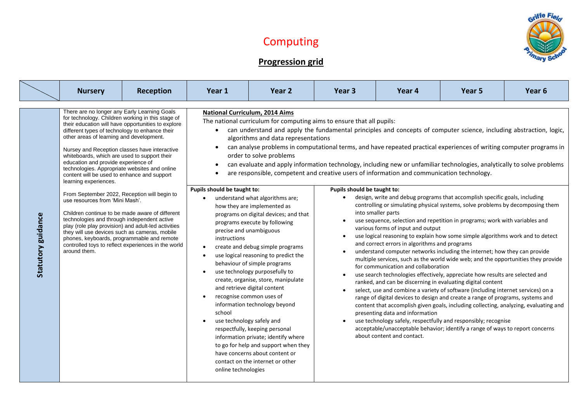## Computing





**Progression grid**

|                           | <b>Nursery</b>                                                                                                                                                                                                                                                                                                                                                                                                                                                                                                                                                                                                                                                                                                                                                                                                                                                                                                                           | Reception | Year 1                                                                                                                               | Year 2                                                                                                                                                                                                                                                                                                                                                                                                                                                                                                                                                                                                                                                                                                                                                                                                                                                                                                                                                                                                                                                                                                                                                                                                                                                                        | Year <sub>3</sub>           | Year <sub>4</sub>                                                                                                                                                                                                | Year 5                                                                                                                                                                                                                                                                                                                                                                                                                                                                                                                                                                                                                                                                                                                                                                                                                                                                                                                                                                                                                                                          | Year <sub>6</sub> |
|---------------------------|------------------------------------------------------------------------------------------------------------------------------------------------------------------------------------------------------------------------------------------------------------------------------------------------------------------------------------------------------------------------------------------------------------------------------------------------------------------------------------------------------------------------------------------------------------------------------------------------------------------------------------------------------------------------------------------------------------------------------------------------------------------------------------------------------------------------------------------------------------------------------------------------------------------------------------------|-----------|--------------------------------------------------------------------------------------------------------------------------------------|-------------------------------------------------------------------------------------------------------------------------------------------------------------------------------------------------------------------------------------------------------------------------------------------------------------------------------------------------------------------------------------------------------------------------------------------------------------------------------------------------------------------------------------------------------------------------------------------------------------------------------------------------------------------------------------------------------------------------------------------------------------------------------------------------------------------------------------------------------------------------------------------------------------------------------------------------------------------------------------------------------------------------------------------------------------------------------------------------------------------------------------------------------------------------------------------------------------------------------------------------------------------------------|-----------------------------|------------------------------------------------------------------------------------------------------------------------------------------------------------------------------------------------------------------|-----------------------------------------------------------------------------------------------------------------------------------------------------------------------------------------------------------------------------------------------------------------------------------------------------------------------------------------------------------------------------------------------------------------------------------------------------------------------------------------------------------------------------------------------------------------------------------------------------------------------------------------------------------------------------------------------------------------------------------------------------------------------------------------------------------------------------------------------------------------------------------------------------------------------------------------------------------------------------------------------------------------------------------------------------------------|-------------------|
| <b>Statutory guidance</b> | There are no longer any Early Learning Goals<br>for technology. Children working in this stage of<br>their education will have opportunities to explore<br>different types of technology to enhance their<br>other areas of learning and development.<br>Nursey and Reception classes have interactive<br>whiteboards, which are used to support their<br>education and provide experience of<br>technologies. Appropriate websites and online<br>content will be used to enhance and support<br>learning experiences.<br>From September 2022, Reception will begin to<br>use resources from 'Mini Mash'.<br>Children continue to be made aware of different<br>technologies and through independent active<br>play (role play provision) and adult-led activities<br>they will use devices such as cameras, mobile<br>phones, keyboards, programmable and remote<br>controlled toys to reflect experiences in the world<br>around them. |           | Pupils should be taught to:<br>precise and unambiguous<br>instructions<br>school<br>use technology safely and<br>online technologies | <b>National Curriculum, 2014 Aims</b><br>The national curriculum for computing aims to ensure that all pupils:<br>can understand and apply the fundamental principles and concepts of computer science, including abstraction, logic,<br>algorithms and data representations<br>can analyse problems in computational terms, and have repeated practical experiences of writing computer programs in<br>order to solve problems<br>can evaluate and apply information technology, including new or unfamiliar technologies, analytically to solve problems<br>are responsible, competent and creative users of information and communication technology.<br>understand what algorithms are;<br>how they are implemented as<br>programs on digital devices; and that<br>programs execute by following<br>create and debug simple programs<br>use logical reasoning to predict the<br>behaviour of simple programs<br>use technology purposefully to<br>create, organise, store, manipulate<br>and retrieve digital content<br>recognise common uses of<br>information technology beyond<br>respectfully, keeping personal<br>information private; identify where<br>to go for help and support when they<br>have concerns about content or<br>contact on the internet or other | Pupils should be taught to: | into smaller parts<br>various forms of input and output<br>and correct errors in algorithms and programs<br>for communication and collaboration<br>presenting data and information<br>about content and contact. | design, write and debug programs that accomplish specific goals, including<br>controlling or simulating physical systems, solve problems by decomposing them<br>use sequence, selection and repetition in programs; work with variables and<br>use logical reasoning to explain how some simple algorithms work and to detect<br>understand computer networks including the internet; how they can provide<br>multiple services, such as the world wide web; and the opportunities they provide<br>use search technologies effectively, appreciate how results are selected and<br>ranked, and can be discerning in evaluating digital content<br>select, use and combine a variety of software (including internet services) on a<br>range of digital devices to design and create a range of programs, systems and<br>content that accomplish given goals, including collecting, analyzing, evaluating and<br>use technology safely, respectfully and responsibly; recognise<br>acceptable/unacceptable behavior; identify a range of ways to report concerns |                   |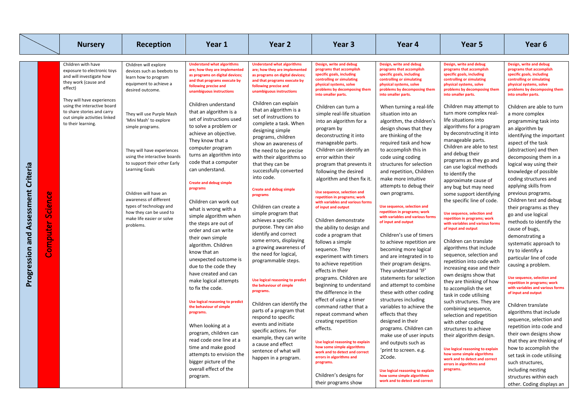|                                     |                            | <b>Nursery</b>                                                                                                                                                                                                                                                    | Reception                                                                                                                                                                                                                                                                                                                                                                                                                                                                      | Year 1                                                                                                                                                                                                                                                                                                                                                                                                                                                                                                                                                                                                                                                                                                                                                                                                                                                                                                                                                                                                                                                                      | Year 2                                                                                                                                                                                                                                                                                                                                                                                                                                                                                                                                                                                                                                                                                                                                                                                                                                                                                                                                                                                                                                                                       | Year 3                                                                                                                                                                                                                                                                                                                                                                                                                                                                                                                                                                                                                                                                                                                                                                                                                                                                                                                                                                                                                                                                                                                                                                                         | Year 4                                                                                                                                                                                                                                                                                                                                                                                                                                                                                                                                                                                                                                                                                                                                                                                                                                                                                                                                                                                                                                                                                                                                                                                                                        | Year 5                                                                                                                                                                                                                                                                                                                                                                                                                                                                                                                                                                                                                                                                                                                                                                                                                                                                                                                                                                                                                                                                                                                                                                                                                                                                           | Year 6                                                                                                                                                                                                                                                                                                                                                                                                                                                                                                                                                                                                                                                                                                                                                                                                                                                                                                                                                                                                                                                                                                                                                                                                                 |
|-------------------------------------|----------------------------|-------------------------------------------------------------------------------------------------------------------------------------------------------------------------------------------------------------------------------------------------------------------|--------------------------------------------------------------------------------------------------------------------------------------------------------------------------------------------------------------------------------------------------------------------------------------------------------------------------------------------------------------------------------------------------------------------------------------------------------------------------------|-----------------------------------------------------------------------------------------------------------------------------------------------------------------------------------------------------------------------------------------------------------------------------------------------------------------------------------------------------------------------------------------------------------------------------------------------------------------------------------------------------------------------------------------------------------------------------------------------------------------------------------------------------------------------------------------------------------------------------------------------------------------------------------------------------------------------------------------------------------------------------------------------------------------------------------------------------------------------------------------------------------------------------------------------------------------------------|------------------------------------------------------------------------------------------------------------------------------------------------------------------------------------------------------------------------------------------------------------------------------------------------------------------------------------------------------------------------------------------------------------------------------------------------------------------------------------------------------------------------------------------------------------------------------------------------------------------------------------------------------------------------------------------------------------------------------------------------------------------------------------------------------------------------------------------------------------------------------------------------------------------------------------------------------------------------------------------------------------------------------------------------------------------------------|------------------------------------------------------------------------------------------------------------------------------------------------------------------------------------------------------------------------------------------------------------------------------------------------------------------------------------------------------------------------------------------------------------------------------------------------------------------------------------------------------------------------------------------------------------------------------------------------------------------------------------------------------------------------------------------------------------------------------------------------------------------------------------------------------------------------------------------------------------------------------------------------------------------------------------------------------------------------------------------------------------------------------------------------------------------------------------------------------------------------------------------------------------------------------------------------|-------------------------------------------------------------------------------------------------------------------------------------------------------------------------------------------------------------------------------------------------------------------------------------------------------------------------------------------------------------------------------------------------------------------------------------------------------------------------------------------------------------------------------------------------------------------------------------------------------------------------------------------------------------------------------------------------------------------------------------------------------------------------------------------------------------------------------------------------------------------------------------------------------------------------------------------------------------------------------------------------------------------------------------------------------------------------------------------------------------------------------------------------------------------------------------------------------------------------------|----------------------------------------------------------------------------------------------------------------------------------------------------------------------------------------------------------------------------------------------------------------------------------------------------------------------------------------------------------------------------------------------------------------------------------------------------------------------------------------------------------------------------------------------------------------------------------------------------------------------------------------------------------------------------------------------------------------------------------------------------------------------------------------------------------------------------------------------------------------------------------------------------------------------------------------------------------------------------------------------------------------------------------------------------------------------------------------------------------------------------------------------------------------------------------------------------------------------------------------------------------------------------------|------------------------------------------------------------------------------------------------------------------------------------------------------------------------------------------------------------------------------------------------------------------------------------------------------------------------------------------------------------------------------------------------------------------------------------------------------------------------------------------------------------------------------------------------------------------------------------------------------------------------------------------------------------------------------------------------------------------------------------------------------------------------------------------------------------------------------------------------------------------------------------------------------------------------------------------------------------------------------------------------------------------------------------------------------------------------------------------------------------------------------------------------------------------------------------------------------------------------|
| Progression and Assessment Criteria | <b>Science</b><br>Computer | Children with have<br>exposure to electronic toys<br>and will investigate how<br>they work (cause and<br>effect)<br>They will have experiences<br>using the interactive board<br>to share stories and carry<br>out simple activities linked<br>to their learning. | Children will explore<br>devices such as beebots to<br>learn how to program<br>equipment to achieve a<br>desired outcome.<br>They will use Purple Mash<br>'Mini Mash' to explore<br>simple programs.<br>They will have experiences<br>using the interactive boards<br>to support their other Early<br><b>Learning Goals</b><br>Children will have an<br>awareness of different<br>types of technology and<br>how they can be used to<br>make life easier or solve<br>problems. | <b>Understand what algorithms</b><br>are; how they are implemented<br>as programs on digital devices;<br>and that programs execute by<br>following precise and<br>unambiguous instructions<br>Children understand<br>that an algorithm is a<br>set of instructions used<br>to solve a problem or<br>achieve an objective.<br>They know that a<br>computer program<br>turns an algorithm into<br>code that a computer<br>can understand.<br><b>Create and debug simple</b><br>programs<br>Children can work out<br>what is wrong with a<br>simple algorithm when<br>the steps are out of<br>order and can write<br>their own simple<br>algorithm. Children<br>know that an<br>unexpected outcome is<br>due to the code they<br>have created and can<br>make logical attempts<br>to fix the code.<br><b>Use logical reasoning to predict</b><br>the behaviour of simple<br>programs.<br>When looking at a<br>program, children can<br>read code one line at a<br>time and make good<br>attempts to envision the<br>bigger picture of the<br>overall effect of the<br>program. | <b>Understand what algorithms</b><br>are; how they are implemented<br>as programs on digital devices;<br>and that programs execute by<br>following precise and<br>unambiguous instructions<br>Children can explain<br>that an algorithm is a<br>set of instructions to<br>complete a task. When<br>designing simple<br>programs, children<br>show an awareness of<br>the need to be precise<br>with their algorithms so<br>that they can be<br>successfully converted<br>into code.<br><b>Create and debug simple</b><br>programs<br>Children can create a<br>simple program that<br>achieves a specific<br>purpose. They can also<br>identify and correct<br>some errors, displaying<br>a growing awareness of<br>the need for logical,<br>programmable steps.<br>Use logical reasoning to predict<br>the behaviour of simple<br>programs.<br>Children can identify the<br>parts of a program that<br>respond to specific<br>events and initiate<br>specific actions. For<br>example, they can write<br>a cause and effect<br>sentence of what will<br>happen in a program. | Design, write and debug<br>programs that accomplish<br>specific goals, including<br>controlling or simulating<br>physical systems, solve<br>problems by decomposing them<br>into smaller parts.<br>Children can turn a<br>simple real-life situation<br>into an algorithm for a<br>program by<br>deconstructing it into<br>manageable parts.<br>Children can identify an<br>error within their<br>program that prevents it<br>following the desired<br>algorithm and then fix it.<br>Use sequence, selection and<br>repetition in programs; work<br>with variables and various forms<br>of input and output<br>Children demonstrate<br>the ability to design and<br>code a program that<br>follows a simple<br>sequence. They<br>experiment with timers<br>to achieve repetition<br>effects in their<br>programs. Children are<br>beginning to understand<br>the difference in the<br>effect of using a timer<br>command rather that a<br>repeat command when<br>creating repetition<br>effects.<br>Use logical reasoning to explain<br>how some simple algorithms<br>work and to detect and correct<br>errors in algorithms and<br>programs.<br>Children's designs for<br>their programs show | Design, write and debug<br>programs that accomplish<br>specific goals, including<br>controlling or simulating<br>physical systems, solve<br>problems by decomposing them<br>into smaller parts.<br>When turning a real-life<br>situation into an<br>algorithm, the children's<br>design shows that they<br>are thinking of the<br>required task and how<br>to accomplish this in<br>code using coding<br>structures for selection<br>and repetition, Children<br>make more intuitive<br>attempts to debug their<br>own programs.<br>Use sequence, selection and<br>repetition in programs; work<br>with variables and various forms<br>of input and output<br>Children's use of timers<br>to achieve repetition are<br>becoming more logical<br>and are integrated in to<br>their program designs.<br>They understand 'IF'<br>statements for selection<br>and attempt to combine<br>these with other coding<br>structures including<br>variables to achieve the<br>effects that they<br>designed in their<br>programs. Children can<br>make use of user inputs<br>and outputs such as<br>'print to screen. e.g.<br>2Code.<br>Use logical reasoning to explain<br>how some simple algorithms<br>work and to detect and correct | Design, write and debug<br>programs that accomplish<br>specific goals, including<br>controlling or simulating<br>physical systems, solve<br>problems by decomposing them<br>into smaller parts.<br>Children may attempt to<br>turn more complex real-<br>life situations into<br>algorithms for a program<br>by deconstructing it into<br>manageable parts.<br>Children are able to test<br>and debug their<br>programs as they go and<br>can use logical methods<br>to identify the<br>approximate cause of<br>any bug but may need<br>some support identifying<br>the specific line of code.<br>Use sequence, selection and<br>repetition in programs; work<br>with variables and various forms<br>of input and output<br>Children can translate<br>algorithms that include<br>sequence, selection and<br>repetition into code with<br>increasing ease and their<br>own designs show that<br>they are thinking of how<br>to accomplish the set<br>task in code utilising<br>such structures. They are<br>combining sequence,<br>selection and repetition<br>with other coding<br>structures to achieve<br>their algorithm design.<br>Use logical reasoning to explain<br>how some simple algorithms<br>work and to detect and correct<br>errors in algorithms and<br>programs. | Design, write and debug<br>programs that accomplish<br>specific goals, including<br>controlling or simulating<br>physical systems, solve<br>problems by decomposing them<br>into smaller parts.<br>Children are able to turn<br>a more complex<br>programming task into<br>an algorithm by<br>identifying the important<br>aspect of the task<br>(abstraction) and then<br>decomposing them in a<br>logical way using their<br>knowledge of possible<br>coding structures and<br>applying skills from<br>previous programs.<br>Children test and debug<br>their programs as they<br>go and use logical<br>methods to identify the<br>cause of bugs,<br>demonstrating a<br>systematic approach to<br>try to identify a<br>particular line of code<br>causing a problem.<br>Use sequence, selection and<br>repetition in programs; work<br>with variables and various forms<br>of input and output<br>Children translate<br>algorithms that include<br>sequence, selection and<br>repetition into code and<br>their own designs show<br>that they are thinking of<br>how to accomplish the<br>set task in code utilising<br>such structures,<br>including nesting<br>structures within each<br>other. Coding displays an |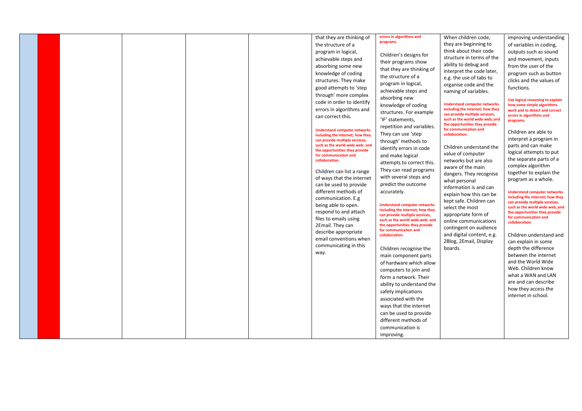|  | that they are thinking of<br>the structure of a<br>program in logical,<br>achievable steps and<br>absorbing some new<br>knowledge of coding<br>structures. They make<br>good attempts to 'step<br>through' more complex<br>code in order to identify<br>errors in algorithms and<br>can correct this.<br><b>Understand computer networks</b><br>including the internet; how they<br>can provide multiple services, | errors in algorithms and<br>programs.<br>Children's designs for<br>their programs show<br>that they are thinking of<br>the structure of a<br>program in logical,<br>achievable steps and<br>absorbing new<br>knowledge of coding<br>structures. For example<br>'IF' statements,<br>repetition and variables.<br>They can use 'step<br>through' methods to                                                                                                                                                                                                                                           | When children code,<br>they are beginning to<br>think about their code<br>structure in terms of the<br>ability to debug and<br>interpret the code later,<br>e.g. the use of tabs to<br>organise code and the<br>naming of variables.<br><b>Understand computer networks</b><br>including the internet; how they<br>can provide multiple services,<br>such as the world wide web; and<br>the opportunities they provide<br>for communication and<br>collaboration. | improving understanding<br>of variables in coding,<br>outputs such as sound<br>and movement, inputs<br>from the user of the<br>program such as button<br>clicks and the values of<br>functions.<br>Use logical reasoning to explain<br>how some simple algorithms<br>work and to detect and correct<br>errors in algorithms and<br>programs.<br>Children are able to<br>interpret a program in                                                                                                                        |
|--|--------------------------------------------------------------------------------------------------------------------------------------------------------------------------------------------------------------------------------------------------------------------------------------------------------------------------------------------------------------------------------------------------------------------|-----------------------------------------------------------------------------------------------------------------------------------------------------------------------------------------------------------------------------------------------------------------------------------------------------------------------------------------------------------------------------------------------------------------------------------------------------------------------------------------------------------------------------------------------------------------------------------------------------|-------------------------------------------------------------------------------------------------------------------------------------------------------------------------------------------------------------------------------------------------------------------------------------------------------------------------------------------------------------------------------------------------------------------------------------------------------------------|-----------------------------------------------------------------------------------------------------------------------------------------------------------------------------------------------------------------------------------------------------------------------------------------------------------------------------------------------------------------------------------------------------------------------------------------------------------------------------------------------------------------------|
|  | Children can list a range<br>of ways that the internet<br>can be used to provide<br>different methods of<br>communication. E.g<br>being able to open.<br>respond to and attach<br>files to emails using<br>2Email. They can<br>describe appropriate<br>email conventions when<br>communicating in this<br>way.                                                                                                     | with several steps and<br>predict the outcome<br>accurately.<br><b>Understand computer networks</b><br>including the internet; how they<br>can provide multiple services,<br>such as the world wide web; and<br>the opportunities they provide<br>for communication and<br>collaboration.<br>Children recognise the<br>main component parts<br>of hardware which allow<br>computers to join and<br>form a network. Their<br>ability to understand the<br>safety implications<br>associated with the<br>ways that the internet<br>can be used to provide<br>different methods of<br>communication is | aware of the main<br>They can read programs<br>dangers. They recognise<br>what personal<br>information is and can<br>explain how this can be<br>kept safe. Children can<br>select the most<br>appropriate form of<br>online communications<br>contingent on audience<br>and digital content, e.g.<br>2Blog, 2Email, Display<br>boards.                                                                                                                            | together to explain the<br>program as a whole.<br><b>Understand computer networks</b><br>including the internet; how they<br>can provide multiple services,<br>such as the world wide web; and<br>the opportunities they provide<br>for communication and<br>collaboration.<br>Children understand and<br>can explain in some<br>depth the difference<br>between the internet<br>and the World Wide<br>Web. Children know<br>what a WAN and LAN<br>are and can describe<br>how they access the<br>internet in school. |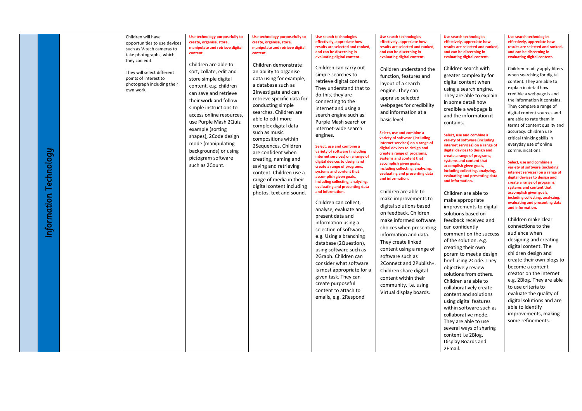| Technology<br>Information | Children will have<br>opportunities to use devices<br>such as V-tech cameras to<br>take photographs, which<br>they can edit.<br>They will select different<br>points of interest to<br>photograph including their<br>own work. | Use technology purposefully to<br>create, organise, store,<br>manipulate and retrieve digital<br>content.<br>Children are able to<br>sort, collate, edit and<br>store simple digital<br>content. e.g. children<br>can save and retrieve<br>their work and follow<br>simple instructions to<br>access online resources,<br>use Purple Mash 2Quiz<br>example (sorting<br>shapes), 2Code design<br>mode (manipulating<br>backgrounds) or using<br>pictogram software<br>such as 2Count. | Use technology purposefully to<br>create, organise, store,<br>manipulate and retrieve digital<br>content.<br>Children demonstrate<br>an ability to organise<br>data using for example,<br>a database such as<br>2Investigate and can<br>retrieve specific data for<br>conducting simple<br>searches. Children are<br>able to edit more<br>complex digital data<br>such as music<br>compositions within<br>2Sequences. Children<br>are confident when<br>creating, naming and<br>saving and retrieving<br>content. Children use a<br>range of media in their<br>digital content including<br>photos, text and sound. | <b>Use search technologies</b><br>effectively, appreciate how<br>results are selected and ranked,<br>and can be discerning in<br>evaluating digital content.<br>Children can carry out<br>simple searches to<br>retrieve digital content.<br>They understand that to<br>do this, they are<br>connecting to the<br>internet and using a<br>search engine such as<br>Purple Mash search or<br>internet-wide search<br>engines.<br>Select, use and combine a<br>variety of software (including<br>internet services) on a range of<br>digital devices to design and<br>create a range of programs,<br>systems and content that<br>accomplish given goals,<br>including collecting, analyzing,<br>evaluating and presenting data<br>and information.<br>Children can collect,<br>analyse, evaluate and<br>present data and<br>information using a<br>selection of software,<br>e.g. Using a branching<br>database (2Question),<br>using software such as<br>2Graph. Children can<br>consider what software<br>is most appropriate for a<br>given task. They can<br>create purposeful<br>content to attach to<br>emails, e.g. 2Respond | <b>Use search technologies</b><br>effectively, appreciate how<br>results are selected and ranked,<br>and can be discerning in<br>evaluating digital content.<br>Children understand the<br>function, features and<br>layout of a search<br>engine. They can<br>appraise selected<br>webpages for credibility<br>and information at a<br>basic level.<br>Select, use and combine a<br>variety of software (including<br>internet services) on a range of<br>digital devices to design and<br>create a range of programs,<br>systems and content that<br>accomplish given goals,<br>including collecting, analyzing,<br>evaluating and presenting data<br>and information.<br>Children are able to<br>make improvements to<br>digital solutions based<br>on feedback. Children<br>make informed software<br>choices when presenting<br>information and data.<br>They create linked<br>content using a range of<br>software such as<br>2Connect and 2Publish+.<br>Children share digital<br>content within their<br>community, i.e. using<br>Virtual display boards. | <b>Use search technologies</b><br>effectively, appreciate how<br>results are selected and ranked,<br>and can be discerning in<br>evaluating digital content.<br>Children search with<br>greater complexity for<br>digital content when<br>using a search engine.<br>They are able to explain<br>in some detail how<br>credible a webpage is<br>and the information it<br>contains.<br>Select, use and combine a<br>variety of software (including<br>internet services) on a range of<br>digital devices to design and<br>create a range of programs,<br>systems and content that<br>accomplish given goals,<br>including collecting, analyzing,<br>evaluating and presenting data<br>and information.<br>Children are able to<br>make appropriate<br>improvements to digital<br>solutions based on<br>feedback received and<br>can confidently<br>comment on the success<br>of the solution. e.g.<br>creating their own<br>poram to meet a design<br>brief using 2Code. They<br>objectively review<br>solutions from others.<br>Children are able to<br>collaboratively create<br>content and solutions<br>using digital features<br>within software such as<br>collaborative mode.<br>They are able to use<br>several ways of sharing<br>content i.e 2Blog,<br>Display Boards and<br>2Email. | <b>Use search technologies</b><br>effectively, appreciate how<br>results are selected and ranked,<br>and can be discerning in<br>evaluating digital content.<br>Children readily apply filters<br>when searching for digital<br>content. They are able to<br>explain in detail how<br>credible a webpage is and<br>the information it contains.<br>They compare a range of<br>digital content sources and<br>are able to rate them in<br>terms of content quality and<br>accuracy. Children use<br>critical thinking skills in<br>everyday use of online<br>communications.<br>Select, use and combine a<br>variety of software (including<br>internet services) on a range of<br>digital devices to design and<br>create a range of programs,<br>systems and content that<br>accomplish given goals,<br>including collecting, analyzing,<br>evaluating and presenting data<br>and information.<br>Children make clear<br>connections to the<br>audience when<br>designing and creating<br>digital content. The<br>children design and<br>create their own blogs to<br>become a content<br>creator on the internet<br>e.g. 2Blog. They are able<br>to use criteria to<br>evaluate the quality of<br>digital solutions and are<br>able to identify<br>improvements, making<br>some refinements. |
|---------------------------|--------------------------------------------------------------------------------------------------------------------------------------------------------------------------------------------------------------------------------|--------------------------------------------------------------------------------------------------------------------------------------------------------------------------------------------------------------------------------------------------------------------------------------------------------------------------------------------------------------------------------------------------------------------------------------------------------------------------------------|---------------------------------------------------------------------------------------------------------------------------------------------------------------------------------------------------------------------------------------------------------------------------------------------------------------------------------------------------------------------------------------------------------------------------------------------------------------------------------------------------------------------------------------------------------------------------------------------------------------------|-----------------------------------------------------------------------------------------------------------------------------------------------------------------------------------------------------------------------------------------------------------------------------------------------------------------------------------------------------------------------------------------------------------------------------------------------------------------------------------------------------------------------------------------------------------------------------------------------------------------------------------------------------------------------------------------------------------------------------------------------------------------------------------------------------------------------------------------------------------------------------------------------------------------------------------------------------------------------------------------------------------------------------------------------------------------------------------------------------------------------------------|-------------------------------------------------------------------------------------------------------------------------------------------------------------------------------------------------------------------------------------------------------------------------------------------------------------------------------------------------------------------------------------------------------------------------------------------------------------------------------------------------------------------------------------------------------------------------------------------------------------------------------------------------------------------------------------------------------------------------------------------------------------------------------------------------------------------------------------------------------------------------------------------------------------------------------------------------------------------------------------------------------------------------------------------------------------------|------------------------------------------------------------------------------------------------------------------------------------------------------------------------------------------------------------------------------------------------------------------------------------------------------------------------------------------------------------------------------------------------------------------------------------------------------------------------------------------------------------------------------------------------------------------------------------------------------------------------------------------------------------------------------------------------------------------------------------------------------------------------------------------------------------------------------------------------------------------------------------------------------------------------------------------------------------------------------------------------------------------------------------------------------------------------------------------------------------------------------------------------------------------------------------------------------------------------------------------------------------------------------------------------|------------------------------------------------------------------------------------------------------------------------------------------------------------------------------------------------------------------------------------------------------------------------------------------------------------------------------------------------------------------------------------------------------------------------------------------------------------------------------------------------------------------------------------------------------------------------------------------------------------------------------------------------------------------------------------------------------------------------------------------------------------------------------------------------------------------------------------------------------------------------------------------------------------------------------------------------------------------------------------------------------------------------------------------------------------------------------------------------------------------------------------------------------------------------------------------------------------------------------------------------------------------------------------------------|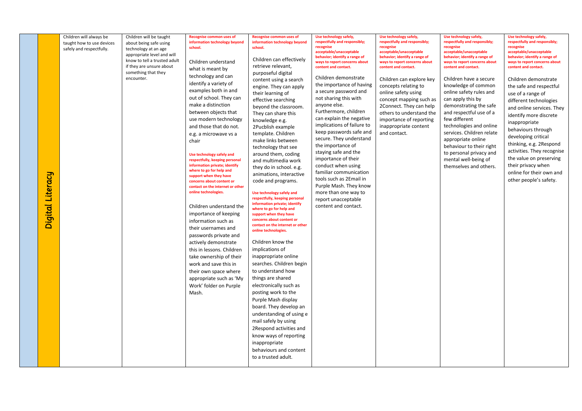| information technology beyond<br>information technology beyond<br>respectfully and responsibly;<br>respectfully and responsibly;<br>respectfully and responsibly;<br>respectfully and responsibly;<br>taught how to use devices<br>about being safe using<br>recognise<br>recognise<br>recognise<br>recognise<br>school.<br>school.<br>safely and respectfully.<br>technology at an age<br>acceptable/unacceptable<br>acceptable/unacceptable<br>acceptable/unacceptable<br>acceptable/unacceptable<br>appropriate level and will<br>behavior; identify a range of<br>behavior; identify a range of<br>behavior; identify a range of<br>behavior; identify a range of<br>Children can effectively<br>know to tell a trusted adult<br>Children understand<br>ways to report concerns about<br>ways to report concerns about<br>ways to report concerns about<br>ways to report concerns about<br>retrieve relevant,<br>if they are unsure about<br>content and contact.<br>content and contact.<br>content and contact.<br>content and contact.<br>what is meant by<br>something that they<br>purposeful digital<br>technology and can<br>Children demonstrate<br>encounter.<br>Children can explore key<br>Children have a secure<br>Children demonstrate<br>content using a search<br>identify a variety of<br>the importance of having<br>knowledge of common<br>concepts relating to<br>the safe and respectful<br>engine. They can apply<br>examples both in and<br>a secure password and<br>online safety using<br>online safety rules and<br>their learning of<br>use of a range of<br>out of school. They can<br>not sharing this with<br>concept mapping such as<br>can apply this by<br>effective searching<br>different technologies<br>make a distinction<br>anyone else.<br>demonstrating the safe<br>2Connect. They can help<br>beyond the classroom.<br>and online services. They<br>Furthermore, children<br>between objects that<br>and respectful use of a<br>others to understand the<br>They can share this<br>identify more discrete<br>can explain the negative<br>few different<br>use modern technology<br>importance of reporting<br>knowledge e.g.<br>inappropriate<br>implications of failure to<br>technologies and online<br>and those that do not.<br>inappropriate content<br>2Pucblish example<br>behaviours through<br>keep passwords safe and<br>services. Children relate<br>and contact.<br>template. Children<br>e.g. a microwave vs a<br>developing critical<br>secure. They understand<br>appropriate online<br>make links between<br>chair<br>thinking, e.g. 2Respond<br>the importance of<br>behaviour to their right<br>technology that see<br>activities. They recognise<br>staying safe and the<br>to personal privacy and<br>around them, coding<br>Use technology safely and<br>the value on preserving<br>importance of their<br>mental well-being of<br>respectfully, keeping personal<br>and multimedia work<br>information private; identify<br>conduct when using<br>their privacy when<br>themselves and others.<br>they do in school. e.g.<br>where to go for help and<br>familiar communication<br>online for their own and<br>Digital Literacy<br>animations, interactive<br>support when they have<br>tools such as 2Email in<br>other people's safety.<br>code and programs.<br>concerns about content or<br>Purple Mash. They know<br>contact on the internet or other<br>online technologies.<br>more than one way to<br>Use technology safely and<br>respectfully, keeping personal<br>report unacceptable<br>information private; identify<br>content and contact.<br>Children understand the<br>where to go for help and<br>importance of keeping<br>support when they have<br>concerns about content or<br>information such as<br>contact on the internet or other<br>their usernames and<br>online technologies.<br>passwords private and<br>Children know the<br>actively demonstrate<br>implications of<br>this in lessons. Children<br>take ownership of their<br>inappropriate online<br>searches. Children begin<br>work and save this in<br>to understand how<br>their own space where<br>things are shared<br>appropriate such as 'My<br>Work' folder on Purple<br>electronically such as<br>posting work to the<br>Mash.<br>Purple Mash display<br>board. They develop an<br>understanding of using e<br>mail safely by using<br>2Respond activities and<br>know ways of reporting<br>inappropriate<br>behaviours and content<br>to a trusted adult. |  |                         |                         |                          |                          |                        |                        |                        |                        |
|-----------------------------------------------------------------------------------------------------------------------------------------------------------------------------------------------------------------------------------------------------------------------------------------------------------------------------------------------------------------------------------------------------------------------------------------------------------------------------------------------------------------------------------------------------------------------------------------------------------------------------------------------------------------------------------------------------------------------------------------------------------------------------------------------------------------------------------------------------------------------------------------------------------------------------------------------------------------------------------------------------------------------------------------------------------------------------------------------------------------------------------------------------------------------------------------------------------------------------------------------------------------------------------------------------------------------------------------------------------------------------------------------------------------------------------------------------------------------------------------------------------------------------------------------------------------------------------------------------------------------------------------------------------------------------------------------------------------------------------------------------------------------------------------------------------------------------------------------------------------------------------------------------------------------------------------------------------------------------------------------------------------------------------------------------------------------------------------------------------------------------------------------------------------------------------------------------------------------------------------------------------------------------------------------------------------------------------------------------------------------------------------------------------------------------------------------------------------------------------------------------------------------------------------------------------------------------------------------------------------------------------------------------------------------------------------------------------------------------------------------------------------------------------------------------------------------------------------------------------------------------------------------------------------------------------------------------------------------------------------------------------------------------------------------------------------------------------------------------------------------------------------------------------------------------------------------------------------------------------------------------------------------------------------------------------------------------------------------------------------------------------------------------------------------------------------------------------------------------------------------------------------------------------------------------------------------------------------------------------------------------------------------------------------------------------------------------------------------------------------------------------------------------------------------------------------------------------------------------------------------------------------------------------------------------------------------------------------------------------------------------------------------------------------------------------------------------------------------------------------------------------------------------------------------------------------------------------------------------------------------------------------------------------------------------------------------------------------------------------------------------------------------------------------------------------------------------------------------------------------------------------------------------|--|-------------------------|-------------------------|--------------------------|--------------------------|------------------------|------------------------|------------------------|------------------------|
|                                                                                                                                                                                                                                                                                                                                                                                                                                                                                                                                                                                                                                                                                                                                                                                                                                                                                                                                                                                                                                                                                                                                                                                                                                                                                                                                                                                                                                                                                                                                                                                                                                                                                                                                                                                                                                                                                                                                                                                                                                                                                                                                                                                                                                                                                                                                                                                                                                                                                                                                                                                                                                                                                                                                                                                                                                                                                                                                                                                                                                                                                                                                                                                                                                                                                                                                                                                                                                                                                                                                                                                                                                                                                                                                                                                                                                                                                                                                                                                                                                                                                                                                                                                                                                                                                                                                                                                                                                                                                                                             |  | Children will always be | Children will be taught | Recognise common uses of | Recognise common uses of | Use technology safely, | Use technology safely, | Use technology safely, | Use technology safely, |